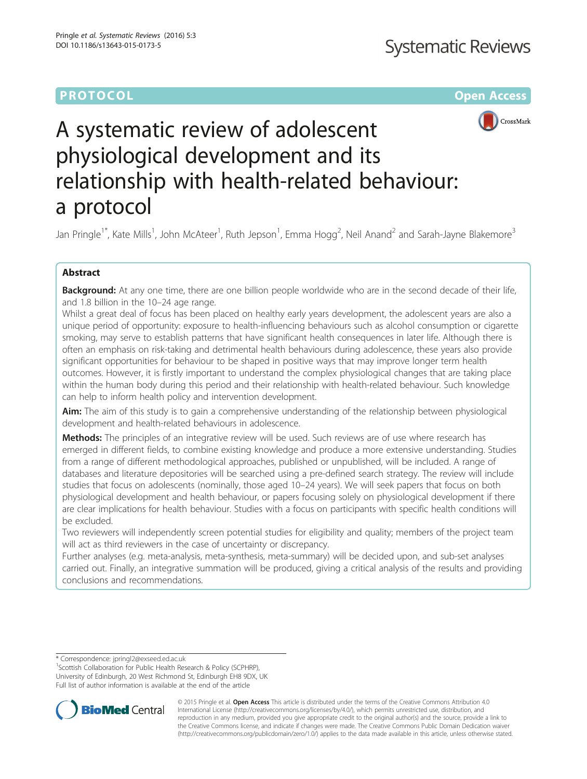# **PROTOCOL CONSUMING THE OPEN ACCESS**



# A systematic review of adolescent physiological development and its relationship with health-related behaviour: a protocol

Jan Pringle<sup>1\*</sup>, Kate Mills<sup>1</sup>, John McAteer<sup>1</sup>, Ruth Jepson<sup>1</sup>, Emma Hogg<sup>2</sup>, Neil Anand<sup>2</sup> and Sarah-Jayne Blakemore<sup>3</sup>

# Abstract

Background: At any one time, there are one billion people worldwide who are in the second decade of their life, and 1.8 billion in the 10–24 age range.

Whilst a great deal of focus has been placed on healthy early years development, the adolescent years are also a unique period of opportunity: exposure to health-influencing behaviours such as alcohol consumption or cigarette smoking, may serve to establish patterns that have significant health consequences in later life. Although there is often an emphasis on risk-taking and detrimental health behaviours during adolescence, these years also provide significant opportunities for behaviour to be shaped in positive ways that may improve longer term health outcomes. However, it is firstly important to understand the complex physiological changes that are taking place within the human body during this period and their relationship with health-related behaviour. Such knowledge can help to inform health policy and intervention development.

Aim: The aim of this study is to gain a comprehensive understanding of the relationship between physiological development and health-related behaviours in adolescence.

**Methods:** The principles of an integrative review will be used. Such reviews are of use where research has emerged in different fields, to combine existing knowledge and produce a more extensive understanding. Studies from a range of different methodological approaches, published or unpublished, will be included. A range of databases and literature depositories will be searched using a pre-defined search strategy. The review will include studies that focus on adolescents (nominally, those aged 10–24 years). We will seek papers that focus on both physiological development and health behaviour, or papers focusing solely on physiological development if there are clear implications for health behaviour. Studies with a focus on participants with specific health conditions will be excluded.

Two reviewers will independently screen potential studies for eligibility and quality; members of the project team will act as third reviewers in the case of uncertainty or discrepancy.

Further analyses (e.g. meta-analysis, meta-synthesis, meta-summary) will be decided upon, and sub-set analyses carried out. Finally, an integrative summation will be produced, giving a critical analysis of the results and providing conclusions and recommendations.

<sup>1</sup>Scottish Collaboration for Public Health Research & Policy (SCPHRP), University of Edinburgh, 20 West Richmond St, Edinburgh EH8 9DX, UK Full list of author information is available at the end of the article



© 2015 Pringle et al. Open Access This article is distributed under the terms of the Creative Commons Attribution 4.0 International License [\(http://creativecommons.org/licenses/by/4.0/](http://creativecommons.org/licenses/by/4.0/)), which permits unrestricted use, distribution, and reproduction in any medium, provided you give appropriate credit to the original author(s) and the source, provide a link to the Creative Commons license, and indicate if changes were made. The Creative Commons Public Domain Dedication waiver [\(http://creativecommons.org/publicdomain/zero/1.0/](http://creativecommons.org/publicdomain/zero/1.0/)) applies to the data made available in this article, unless otherwise stated.

<sup>\*</sup> Correspondence: [jpringl2@exseed.ed.ac.uk](mailto:jpringl2@exseed.ed.ac.uk) <sup>1</sup>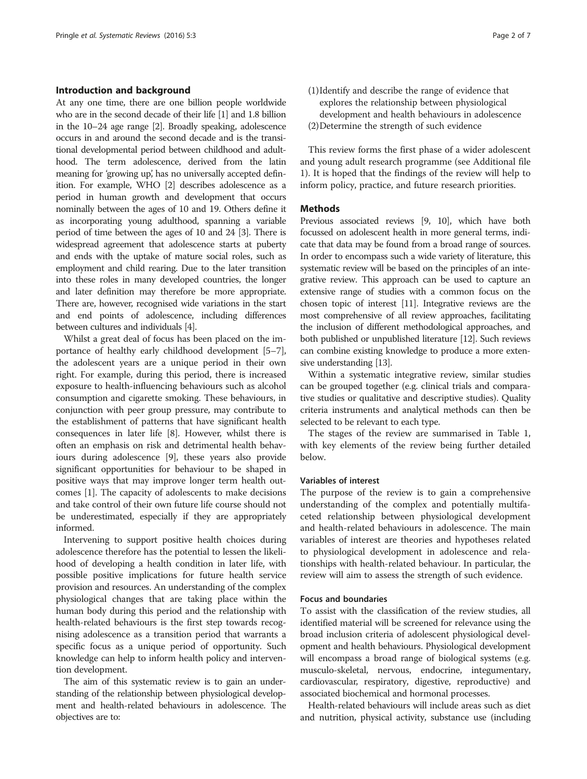### Introduction and background

At any one time, there are one billion people worldwide who are in the second decade of their life [\[1\]](#page-5-0) and 1.8 billion in the 10–24 age range [\[2](#page-5-0)]. Broadly speaking, adolescence occurs in and around the second decade and is the transitional developmental period between childhood and adulthood. The term adolescence, derived from the latin meaning for 'growing up', has no universally accepted definition. For example, WHO [\[2\]](#page-5-0) describes adolescence as a period in human growth and development that occurs nominally between the ages of 10 and 19. Others define it as incorporating young adulthood, spanning a variable period of time between the ages of 10 and 24 [[3\]](#page-5-0). There is widespread agreement that adolescence starts at puberty and ends with the uptake of mature social roles, such as employment and child rearing. Due to the later transition into these roles in many developed countries, the longer and later definition may therefore be more appropriate. There are, however, recognised wide variations in the start and end points of adolescence, including differences between cultures and individuals [\[4\]](#page-5-0).

Whilst a great deal of focus has been placed on the importance of healthy early childhood development [[5](#page-5-0)–[7](#page-5-0)], the adolescent years are a unique period in their own right. For example, during this period, there is increased exposure to health-influencing behaviours such as alcohol consumption and cigarette smoking. These behaviours, in conjunction with peer group pressure, may contribute to the establishment of patterns that have significant health consequences in later life [[8](#page-5-0)]. However, whilst there is often an emphasis on risk and detrimental health behaviours during adolescence [\[9\]](#page-5-0), these years also provide significant opportunities for behaviour to be shaped in positive ways that may improve longer term health outcomes [[1](#page-5-0)]. The capacity of adolescents to make decisions and take control of their own future life course should not be underestimated, especially if they are appropriately informed.

Intervening to support positive health choices during adolescence therefore has the potential to lessen the likelihood of developing a health condition in later life, with possible positive implications for future health service provision and resources. An understanding of the complex physiological changes that are taking place within the human body during this period and the relationship with health-related behaviours is the first step towards recognising adolescence as a transition period that warrants a specific focus as a unique period of opportunity. Such knowledge can help to inform health policy and intervention development.

The aim of this systematic review is to gain an understanding of the relationship between physiological development and health-related behaviours in adolescence. The objectives are to:

(1)Identify and describe the range of evidence that explores the relationship between physiological development and health behaviours in adolescence (2)Determine the strength of such evidence

This review forms the first phase of a wider adolescent and young adult research programme (see Additional file [1\)](#page-5-0). It is hoped that the findings of the review will help to inform policy, practice, and future research priorities.

### **Methods**

Previous associated reviews [\[9](#page-5-0), [10](#page-5-0)], which have both focussed on adolescent health in more general terms, indicate that data may be found from a broad range of sources. In order to encompass such a wide variety of literature, this systematic review will be based on the principles of an integrative review. This approach can be used to capture an extensive range of studies with a common focus on the chosen topic of interest [\[11\]](#page-5-0). Integrative reviews are the most comprehensive of all review approaches, facilitating the inclusion of different methodological approaches, and both published or unpublished literature [\[12](#page-5-0)]. Such reviews can combine existing knowledge to produce a more extensive understanding [[13](#page-6-0)].

Within a systematic integrative review, similar studies can be grouped together (e.g. clinical trials and comparative studies or qualitative and descriptive studies). Quality criteria instruments and analytical methods can then be selected to be relevant to each type.

The stages of the review are summarised in Table [1](#page-2-0), with key elements of the review being further detailed below.

#### Variables of interest

The purpose of the review is to gain a comprehensive understanding of the complex and potentially multifaceted relationship between physiological development and health-related behaviours in adolescence. The main variables of interest are theories and hypotheses related to physiological development in adolescence and relationships with health-related behaviour. In particular, the review will aim to assess the strength of such evidence.

### Focus and boundaries

To assist with the classification of the review studies, all identified material will be screened for relevance using the broad inclusion criteria of adolescent physiological development and health behaviours. Physiological development will encompass a broad range of biological systems (e.g. musculo-skeletal, nervous, endocrine, integumentary, cardiovascular, respiratory, digestive, reproductive) and associated biochemical and hormonal processes.

Health-related behaviours will include areas such as diet and nutrition, physical activity, substance use (including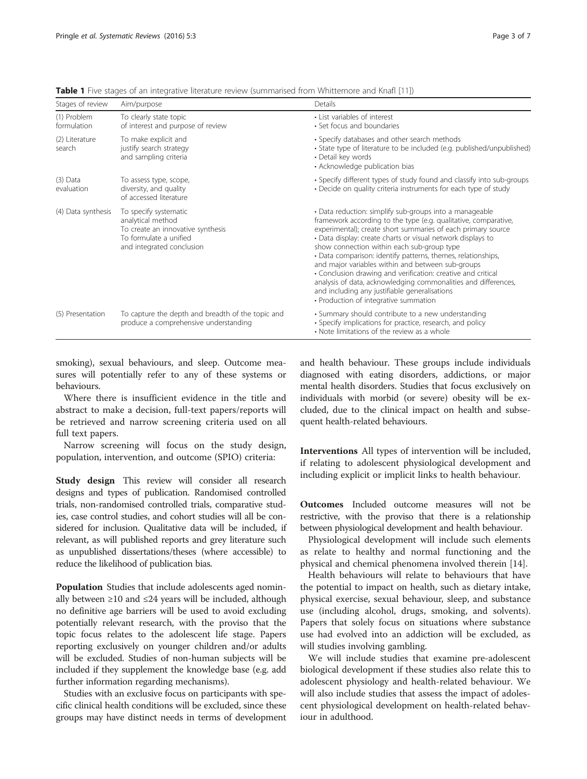| Stages of review           | Aim/purpose                                                                                                                            | Details                                                                                                                                                                                                                                                                                                                                                                                                                                                                                                                                                                                                                                                  |  |
|----------------------------|----------------------------------------------------------------------------------------------------------------------------------------|----------------------------------------------------------------------------------------------------------------------------------------------------------------------------------------------------------------------------------------------------------------------------------------------------------------------------------------------------------------------------------------------------------------------------------------------------------------------------------------------------------------------------------------------------------------------------------------------------------------------------------------------------------|--|
| (1) Problem<br>formulation | To clearly state topic<br>of interest and purpose of review                                                                            | • List variables of interest<br>• Set focus and boundaries                                                                                                                                                                                                                                                                                                                                                                                                                                                                                                                                                                                               |  |
| (2) Literature<br>search   | To make explicit and<br>justify search strategy<br>and sampling criteria                                                               | • Specify databases and other search methods<br>• State type of literature to be included (e.g. published/unpublished)<br>• Detail key words<br>• Acknowledge publication bias                                                                                                                                                                                                                                                                                                                                                                                                                                                                           |  |
| $(3)$ Data<br>evaluation   | To assess type, scope,<br>diversity, and quality<br>of accessed literature                                                             | • Specify different types of study found and classify into sub-groups<br>• Decide on quality criteria instruments for each type of study                                                                                                                                                                                                                                                                                                                                                                                                                                                                                                                 |  |
| (4) Data synthesis         | To specify systematic<br>analytical method<br>To create an innovative synthesis<br>To formulate a unified<br>and integrated conclusion | • Data reduction: simplify sub-groups into a manageable<br>framework according to the type (e.g. qualitative, comparative,<br>experimental); create short summaries of each primary source<br>• Data display: create charts or visual network displays to<br>show connection within each sub-group type<br>• Data comparison: identify patterns, themes, relationships,<br>and major variables within and between sub-groups<br>• Conclusion drawing and verification: creative and critical<br>analysis of data, acknowledging commonalities and differences,<br>and including any justifiable generalisations<br>• Production of integrative summation |  |
| (5) Presentation           | To capture the depth and breadth of the topic and<br>produce a comprehensive understanding                                             | • Summary should contribute to a new understanding<br>· Specify implications for practice, research, and policy<br>• Note limitations of the review as a whole                                                                                                                                                                                                                                                                                                                                                                                                                                                                                           |  |

<span id="page-2-0"></span>**Table 1** Five stages of an integrative literature review (summarised from Whittemore and Knafl [[11](#page-5-0)])

smoking), sexual behaviours, and sleep. Outcome measures will potentially refer to any of these systems or behaviours.

Where there is insufficient evidence in the title and abstract to make a decision, full-text papers/reports will be retrieved and narrow screening criteria used on all full text papers.

Narrow screening will focus on the study design, population, intervention, and outcome (SPIO) criteria:

Study design This review will consider all research designs and types of publication. Randomised controlled trials, non-randomised controlled trials, comparative studies, case control studies, and cohort studies will all be considered for inclusion. Qualitative data will be included, if relevant, as will published reports and grey literature such as unpublished dissertations/theses (where accessible) to reduce the likelihood of publication bias.

Population Studies that include adolescents aged nominally between ≥10 and ≤24 years will be included, although no definitive age barriers will be used to avoid excluding potentially relevant research, with the proviso that the topic focus relates to the adolescent life stage. Papers reporting exclusively on younger children and/or adults will be excluded. Studies of non-human subjects will be included if they supplement the knowledge base (e.g. add further information regarding mechanisms).

Studies with an exclusive focus on participants with specific clinical health conditions will be excluded, since these groups may have distinct needs in terms of development and health behaviour. These groups include individuals diagnosed with eating disorders, addictions, or major mental health disorders. Studies that focus exclusively on individuals with morbid (or severe) obesity will be excluded, due to the clinical impact on health and subsequent health-related behaviours.

Interventions All types of intervention will be included, if relating to adolescent physiological development and including explicit or implicit links to health behaviour.

Outcomes Included outcome measures will not be restrictive, with the proviso that there is a relationship between physiological development and health behaviour.

Physiological development will include such elements as relate to healthy and normal functioning and the physical and chemical phenomena involved therein [\[14](#page-6-0)].

Health behaviours will relate to behaviours that have the potential to impact on health, such as dietary intake, physical exercise, sexual behaviour, sleep, and substance use (including alcohol, drugs, smoking, and solvents). Papers that solely focus on situations where substance use had evolved into an addiction will be excluded, as will studies involving gambling.

We will include studies that examine pre-adolescent biological development if these studies also relate this to adolescent physiology and health-related behaviour. We will also include studies that assess the impact of adolescent physiological development on health-related behaviour in adulthood.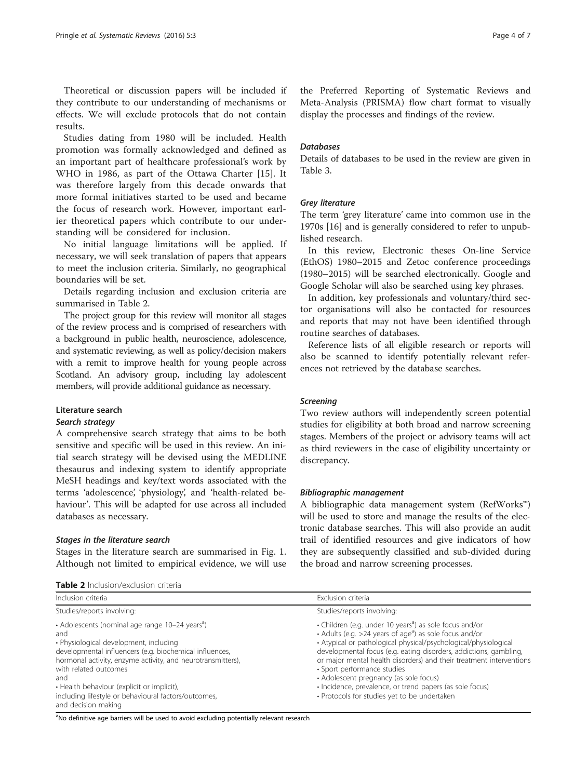Theoretical or discussion papers will be included if they contribute to our understanding of mechanisms or effects. We will exclude protocols that do not contain results.

Studies dating from 1980 will be included. Health promotion was formally acknowledged and defined as an important part of healthcare professional's work by WHO in 1986, as part of the Ottawa Charter [\[15](#page-6-0)]. It was therefore largely from this decade onwards that more formal initiatives started to be used and became the focus of research work. However, important earlier theoretical papers which contribute to our understanding will be considered for inclusion.

No initial language limitations will be applied. If necessary, we will seek translation of papers that appears to meet the inclusion criteria. Similarly, no geographical boundaries will be set.

Details regarding inclusion and exclusion criteria are summarised in Table 2.

The project group for this review will monitor all stages of the review process and is comprised of researchers with a background in public health, neuroscience, adolescence, and systematic reviewing, as well as policy/decision makers with a remit to improve health for young people across Scotland. An advisory group, including lay adolescent members, will provide additional guidance as necessary.

#### Literature search

A comprehensive search strategy that aims to be both sensitive and specific will be used in this review. An initial search strategy will be devised using the MEDLINE thesaurus and indexing system to identify appropriate MeSH headings and key/text words associated with the terms 'adolescence', 'physiology', and 'health-related behaviour'. This will be adapted for use across all included databases as necessary.

Stages in the literature search Stages in the literature search are summarised in Fig. [1](#page-4-0). Although not limited to empirical evidence, we will use

|  |  |  | <b>Table 2</b> Inclusion/exclusion criteria |  |
|--|--|--|---------------------------------------------|--|
|--|--|--|---------------------------------------------|--|

the Preferred Reporting of Systematic Reviews and Meta-Analysis (PRISMA) flow chart format to visually display the processes and findings of the review.

#### **Databases**

Details of databases to be used in the review are given in Table [3.](#page-5-0)

The term 'grey literature' came into common use in the 1970s [\[16](#page-6-0)] and is generally considered to refer to unpublished research.

In this review, Electronic theses On-line Service (EthOS) 1980–2015 and Zetoc conference proceedings (1980–2015) will be searched electronically. Google and Google Scholar will also be searched using key phrases.

In addition, key professionals and voluntary/third sector organisations will also be contacted for resources and reports that may not have been identified through routine searches of databases.

Reference lists of all eligible research or reports will also be scanned to identify potentially relevant references not retrieved by the database searches.

Two review authors will independently screen potential studies for eligibility at both broad and narrow screening stages. Members of the project or advisory teams will act as third reviewers in the case of eligibility uncertainty or discrepancy.

Bibliographic management A bibliographic data management system (RefWorks™) will be used to store and manage the results of the electronic database searches. This will also provide an audit trail of identified resources and give indicators of how they are subsequently classified and sub-divided during the broad and narrow screening processes.

| Inclusion criteria                                                                                                                                                                                                                                                                                                                                                                                  | Exclusion criteria                                                                                                                                                                                                                                                                                                                                                                                                                                                                                                                                |  |  |  |
|-----------------------------------------------------------------------------------------------------------------------------------------------------------------------------------------------------------------------------------------------------------------------------------------------------------------------------------------------------------------------------------------------------|---------------------------------------------------------------------------------------------------------------------------------------------------------------------------------------------------------------------------------------------------------------------------------------------------------------------------------------------------------------------------------------------------------------------------------------------------------------------------------------------------------------------------------------------------|--|--|--|
| Studies/reports involving:                                                                                                                                                                                                                                                                                                                                                                          | Studies/reports involving:                                                                                                                                                                                                                                                                                                                                                                                                                                                                                                                        |  |  |  |
| • Adolescents (nominal age range 10-24 years <sup>a</sup> )<br>and<br>· Physiological development, including<br>developmental influencers (e.g. biochemical influences,<br>hormonal activity, enzyme activity, and neurotransmitters),<br>with related outcomes<br>and<br>· Health behaviour (explicit or implicit),<br>including lifestyle or behavioural factors/outcomes,<br>and decision making | • Children (e.g. under 10 years <sup>a</sup> ) as sole focus and/or<br>• Adults (e.g. $>$ 24 years of age <sup>a</sup> ) as sole focus and/or<br>• Atypical or pathological physical/psychological/physiological<br>developmental focus (e.g. eating disorders, addictions, gambling,<br>or major mental health disorders) and their treatment interventions<br>• Sport performance studies<br>• Adolescent pregnancy (as sole focus)<br>· Incidence, prevalence, or trend papers (as sole focus)<br>• Protocols for studies yet to be undertaken |  |  |  |

<sup>a</sup>No definitive age barriers will be used to avoid excluding potentially relevant research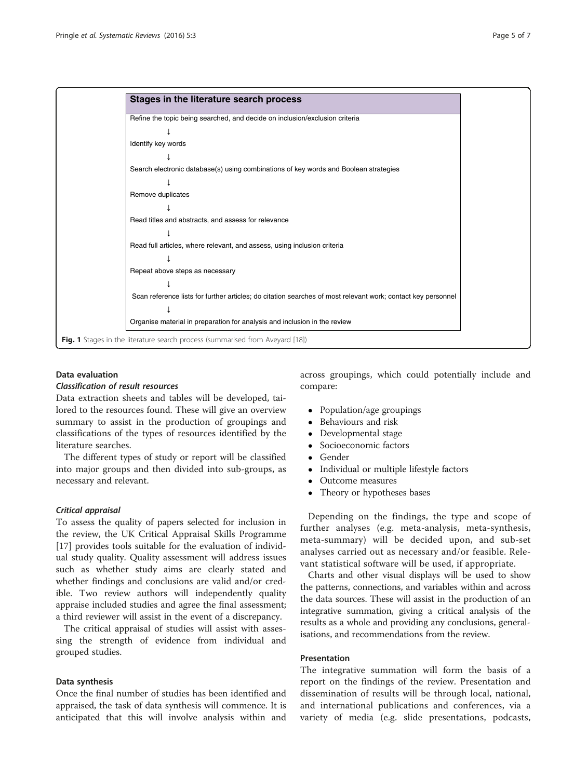<span id="page-4-0"></span>

### Data evaluation

Data extraction sheets and tables will be developed, tailored to the resources found. These will give an overview summary to assist in the production of groupings and classifications of the types of resources identified by the literature searches.

The different types of study or report will be classified into major groups and then divided into sub-groups, as necessary and relevant.

To assess the quality of papers selected for inclusion in the review, the UK Critical Appraisal Skills Programme [[17\]](#page-6-0) provides tools suitable for the evaluation of individual study quality. Quality assessment will address issues such as whether study aims are clearly stated and whether findings and conclusions are valid and/or credible. Two review authors will independently quality appraise included studies and agree the final assessment; a third reviewer will assist in the event of a discrepancy.

The critical appraisal of studies will assist with assessing the strength of evidence from individual and grouped studies.

#### Data synthesis

Once the final number of studies has been identified and appraised, the task of data synthesis will commence. It is anticipated that this will involve analysis within and across groupings, which could potentially include and compare:

- Population/age groupings
- Behaviours and risk
- Developmental stage
- Socioeconomic factors<br>• Gender
- Gender
- Individual or multiple lifestyle factors
- Outcome measures
- Theory or hypotheses bases

Depending on the findings, the type and scope of further analyses (e.g. meta-analysis, meta-synthesis, meta-summary) will be decided upon, and sub-set analyses carried out as necessary and/or feasible. Relevant statistical software will be used, if appropriate.

Charts and other visual displays will be used to show the patterns, connections, and variables within and across the data sources. These will assist in the production of an integrative summation, giving a critical analysis of the results as a whole and providing any conclusions, generalisations, and recommendations from the review.

### Presentation

The integrative summation will form the basis of a report on the findings of the review. Presentation and dissemination of results will be through local, national, and international publications and conferences, via a variety of media (e.g. slide presentations, podcasts,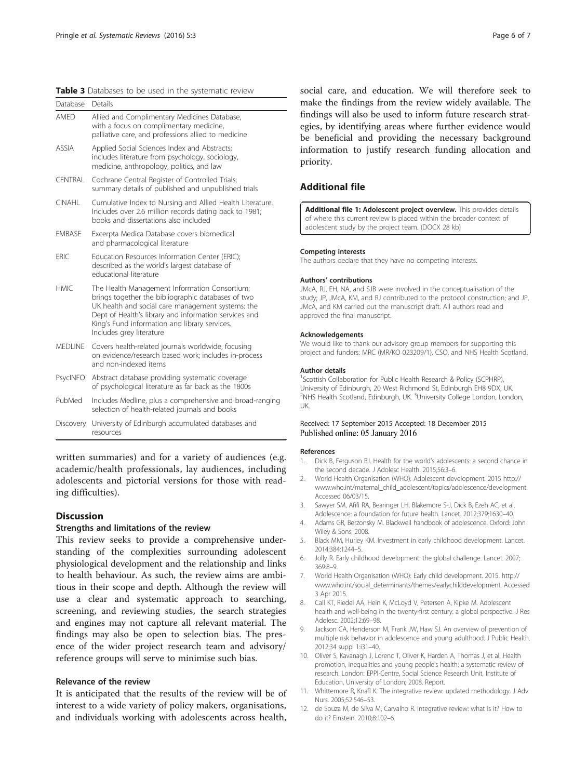#### <span id="page-5-0"></span>Table 3 Databases to be used in the systematic review

| Database        | Details                                                                                                                                                                                                                                                                                        |
|-----------------|------------------------------------------------------------------------------------------------------------------------------------------------------------------------------------------------------------------------------------------------------------------------------------------------|
| AMFD            | Allied and Complimentary Medicines Database,<br>with a focus on complimentary medicine,<br>palliative care, and professions allied to medicine                                                                                                                                                 |
| <b>ASSIA</b>    | Applied Social Sciences Index and Abstracts;<br>includes literature from psychology, sociology,<br>medicine, anthropology, politics, and law                                                                                                                                                   |
| CENTRAI         | Cochrane Central Register of Controlled Trials;<br>summary details of published and unpublished trials                                                                                                                                                                                         |
| <b>CINAHI</b>   | Cumulative Index to Nursing and Allied Health Literature.<br>Includes over 2.6 million records dating back to 1981;<br>books and dissertations also included                                                                                                                                   |
| <b>FMBASE</b>   | Excerpta Medica Database covers biomedical<br>and pharmacological literature                                                                                                                                                                                                                   |
| <b>FRIC</b>     | Education Resources Information Center (ERIC);<br>described as the world's largest database of<br>educational literature                                                                                                                                                                       |
| <b>HMIC</b>     | The Health Management Information Consortium;<br>brings together the bibliographic databases of two<br>UK health and social care management systems: the<br>Dept of Health's library and information services and<br>King's Fund information and library services.<br>Includes grey literature |
| <b>MEDLINE</b>  | Covers health-related journals worldwide, focusing<br>on evidence/research based work; includes in-process<br>and non-indexed items                                                                                                                                                            |
| <b>PsycINFO</b> | Abstract database providing systematic coverage<br>of psychological literature as far back as the 1800s                                                                                                                                                                                        |
| PubMed          | Includes Medline, plus a comprehensive and broad-ranging<br>selection of health-related journals and books                                                                                                                                                                                     |
| Discovery       | University of Edinburgh accumulated databases and<br>resources                                                                                                                                                                                                                                 |

written summaries) and for a variety of audiences (e.g. academic/health professionals, lay audiences, including adolescents and pictorial versions for those with reading difficulties).

#### **Discussion**

### Strengths and limitations of the review

This review seeks to provide a comprehensive understanding of the complexities surrounding adolescent physiological development and the relationship and links to health behaviour. As such, the review aims are ambitious in their scope and depth. Although the review will use a clear and systematic approach to searching, screening, and reviewing studies, the search strategies and engines may not capture all relevant material. The findings may also be open to selection bias. The presence of the wider project research team and advisory/ reference groups will serve to minimise such bias.

### Relevance of the review

It is anticipated that the results of the review will be of interest to a wide variety of policy makers, organisations, and individuals working with adolescents across health, social care, and education. We will therefore seek to make the findings from the review widely available. The findings will also be used to inform future research strategies, by identifying areas where further evidence would be beneficial and providing the necessary background information to justify research funding allocation and priority.

### Additional file

[Additional file 1:](dx.doi.org/10.1186/s13643-015-0173-5) Adolescent project overview. This provides details of where this current review is placed within the broader context of adolescent study by the project team. (DOCX 28 kb)

#### Competing interests

The authors declare that they have no competing interests.

#### Authors' contributions

JMcA, RJ, EH, NA, and SJB were involved in the conceptualisation of the study; JP, JMcA, KM, and RJ contributed to the protocol construction; and JP, JMcA, and KM carried out the manuscript draft. All authors read and approved the final manuscript.

#### Acknowledgements

We would like to thank our advisory group members for supporting this project and funders: MRC (MR/KO 023209/1), CSO, and NHS Health Scotland.

#### Author details

<sup>1</sup>Scottish Collaboration for Public Health Research & Policy (SCPHRP), University of Edinburgh, 20 West Richmond St, Edinburgh EH8 9DX, UK. <sup>2</sup>NHS Health Scotland, Edinburgh, UK. <sup>3</sup>University College London, London, UK.

#### Received: 17 September 2015 Accepted: 18 December 2015 Published online: 05 January 2016

#### References

- 1. Dick B, Ferguson BJ. Health for the world's adolescents: a second chance in the second decade. J Adolesc Health. 2015;56:3–6.
- 2. World Health Organisation (WHO): Adolescent development. 2015 [http://](http://www.who.int/maternal_child_adolescent/topics/adolescence/development) [www.who.int/maternal\\_child\\_adolescent/topics/adolescence/development](http://www.who.int/maternal_child_adolescent/topics/adolescence/development). Accessed 06/03/15.
- 3. Sawyer SM, Afifi RA, Bearinger LH, Blakemore S-J, Dick B, Ezeh AC, et al. Adolescence: a foundation for future health. Lancet. 2012;379:1630–40.
- 4. Adams GR, Berzonsky M. Blackwell handbook of adolescence. Oxford: John Wiley & Sons; 2008.
- 5. Black MM, Hurley KM. Investment in early childhood development. Lancet. 2014;384:1244–5.
- 6. Jolly R. Early childhood development: the global challenge. Lancet. 2007; 369:8–9.
- 7. World Health Organisation (WHO): Early child development. 2015. [http://](http://www.who.int/social_determinants/themes/earlychilddevelopment) [www.who.int/social\\_determinants/themes/earlychilddevelopment](http://www.who.int/social_determinants/themes/earlychilddevelopment). Accessed 3 Apr 2015.
- 8. Call KT, Riedel AA, Hein K, McLoyd V, Petersen A, Kipke M. Adolescent health and well-being in the twenty-first century: a global perspective. J Res Adolesc. 2002;12:69–98.
- 9. Jackson CA, Henderson M, Frank JW, Haw SJ. An overview of prevention of multiple risk behavior in adolescence and young adulthood. J Public Health. 2012;34 suppl 1:i31–40.
- 10. Oliver S, Kavanagh J, Lorenc T, Oliver K, Harden A, Thomas J, et al. Health promotion, inequalities and young people's health: a systematic review of research. London: EPPI-Centre, Social Science Research Unit, Institute of Education, University of London; 2008. Report.
- 11. Whittemore R, Knafl K. The integrative review: updated methodology. J Adv Nurs. 2005;52:546–53.
- 12. de Souza M, de Silva M, Carvalho R. Integrative review: what is it? How to do it? Einstein. 2010;8:102–6.